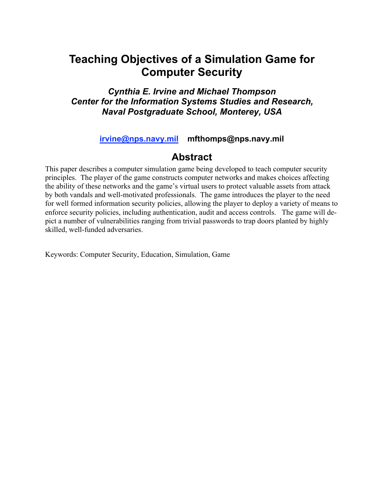# **Teaching Objectives of a Simulation Game for Computer Security**

*Cynthia E. Irvine and Michael Thompson Center for the Information Systems Studies and Research, Naval Postgraduate School, Monterey, USA*

**irvine@nps.navy.mil mfthomps@nps.navy.mil**

## **Abstract**

This paper describes a computer simulation game being developed to teach computer security principles. The player of the game constructs computer networks and makes choices affecting the ability of these networks and the game's virtual users to protect valuable assets from attack by both vandals and well-motivated professionals. The game introduces the player to the need for well formed information security policies, allowing the player to deploy a variety of means to enforce security policies, including authentication, audit and access controls. The game will depict a number of vulnerabilities ranging from trivial passwords to trap doors planted by highly skilled, well-funded adversaries.

Keywords: Computer Security, Education, Simulation, Game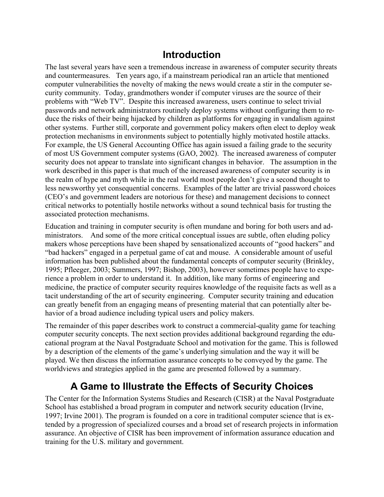## **Introduction**

The last several years have seen a tremendous increase in awareness of computer security threats and countermeasures. Ten years ago, if a mainstream periodical ran an article that mentioned computer vulnerabilities the novelty of making the news would create a stir in the computer security community. Today, grandmothers wonder if computer viruses are the source of their problems with "Web TV". Despite this increased awareness, users continue to select trivial passwords and network administrators routinely deploy systems without configuring them to reduce the risks of their being hijacked by children as platforms for engaging in vandalism against other systems. Further still, corporate and government policy makers often elect to deploy weak protection mechanisms in environments subject to potentially highly motivated hostile attacks. For example, the US General Accounting Office has again issued a failing grade to the security of most US Government computer systems (GAO, 2002). The increased awareness of computer security does not appear to translate into significant changes in behavior. The assumption in the work described in this paper is that much of the increased awareness of computer security is in the realm of hype and myth while in the real world most people don't give a second thought to less newsworthy yet consequential concerns. Examples of the latter are trivial password choices (CEO's and government leaders are notorious for these) and management decisions to connect critical networks to potentially hostile networks without a sound technical basis for trusting the associated protection mechanisms.

Education and training in computer security is often mundane and boring for both users and administrators. And some of the more critical conceptual issues are subtle, often eluding policy makers whose perceptions have been shaped by sensationalized accounts of "good hackers" and "bad hackers" engaged in a perpetual game of cat and mouse. A considerable amount of useful information has been published about the fundamental concepts of computer security (Brinkley, 1995; Pfleeger, 2003; Summers, 1997; Bishop, 2003), however sometimes people have to experience a problem in order to understand it. In addition, like many forms of engineering and medicine, the practice of computer security requires knowledge of the requisite facts as well as a tacit understanding of the art of security engineering. Computer security training and education can greatly benefit from an engaging means of presenting material that can potentially alter behavior of a broad audience including typical users and policy makers.

The remainder of this paper describes work to construct a commercial-quality game for teaching computer security concepts. The next section provides additional background regarding the educational program at the Naval Postgraduate School and motivation for the game. This is followed by a description of the elements of the game's underlying simulation and the way it will be played. We then discuss the information assurance concepts to be conveyed by the game. The worldviews and strategies applied in the game are presented followed by a summary.

# **A Game to Illustrate the Effects of Security Choices**

The Center for the Information Systems Studies and Research (CISR) at the Naval Postgraduate School has established a broad program in computer and network security education (Irvine, 1997; Irvine 2001). The program is founded on a core in traditional computer science that is extended by a progression of specialized courses and a broad set of research projects in information assurance. An objective of CISR has been improvement of information assurance education and training for the U.S. military and government.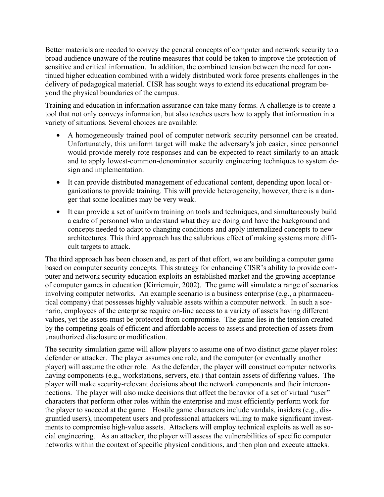Better materials are needed to convey the general concepts of computer and network security to a broad audience unaware of the routine measures that could be taken to improve the protection of sensitive and critical information. In addition, the combined tension between the need for continued higher education combined with a widely distributed work force presents challenges in the delivery of pedagogical material. CISR has sought ways to extend its educational program beyond the physical boundaries of the campus.

Training and education in information assurance can take many forms. A challenge is to create a tool that not only conveys information, but also teaches users how to apply that information in a variety of situations. Several choices are available:

- A homogeneously trained pool of computer network security personnel can be created. Unfortunately, this uniform target will make the adversary's job easier, since personnel would provide merely rote responses and can be expected to react similarly to an attack and to apply lowest-common-denominator security engineering techniques to system design and implementation.
- It can provide distributed management of educational content, depending upon local organizations to provide training. This will provide heterogeneity, however, there is a danger that some localities may be very weak.
- It can provide a set of uniform training on tools and techniques, and simultaneously build a cadre of personnel who understand what they are doing and have the background and concepts needed to adapt to changing conditions and apply internalized concepts to new architectures. This third approach has the salubrious effect of making systems more difficult targets to attack.

The third approach has been chosen and, as part of that effort, we are building a computer game based on computer security concepts. This strategy for enhancing CISR's ability to provide computer and network security education exploits an established market and the growing acceptance of computer games in education (Kirriemuir, 2002). The game will simulate a range of scenarios involving computer networks. An example scenario is a business enterprise (e.g., a pharmaceutical company) that possesses highly valuable assets within a computer network. In such a scenario, employees of the enterprise require on-line access to a variety of assets having different values, yet the assets must be protected from compromise. The game lies in the tension created by the competing goals of efficient and affordable access to assets and protection of assets from unauthorized disclosure or modification.

The security simulation game will allow players to assume one of two distinct game player roles: defender or attacker. The player assumes one role, and the computer (or eventually another player) will assume the other role. As the defender, the player will construct computer networks having components (e.g., workstations, servers, etc.) that contain assets of differing values. The player will make security-relevant decisions about the network components and their interconnections. The player will also make decisions that affect the behavior of a set of virtual "user" characters that perform other roles within the enterprise and must efficiently perform work for the player to succeed at the game. Hostile game characters include vandals, insiders (e.g., disgruntled users), incompetent users and professional attackers willing to make significant investments to compromise high-value assets. Attackers will employ technical exploits as well as social engineering. As an attacker, the player will assess the vulnerabilities of specific computer networks within the context of specific physical conditions, and then plan and execute attacks.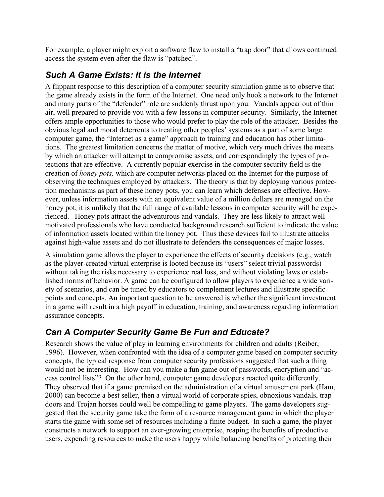For example, a player might exploit a software flaw to install a "trap door" that allows continued access the system even after the flaw is "patched".

## *Such A Game Exists: It is the Internet*

A flippant response to this description of a computer security simulation game is to observe that the game already exists in the form of the Internet. One need only hook a network to the Internet and many parts of the "defender" role are suddenly thrust upon you. Vandals appear out of thin air, well prepared to provide you with a few lessons in computer security. Similarly, the Internet offers ample opportunities to those who would prefer to play the role of the attacker. Besides the obvious legal and moral deterrents to treating other peoples' systems as a part of some large computer game, the "Internet as a game" approach to training and education has other limitations. The greatest limitation concerns the matter of motive, which very much drives the means by which an attacker will attempt to compromise assets, and correspondingly the types of protections that are effective. A currently popular exercise in the computer security field is the creation of *honey pots,* which are computer networks placed on the Internet for the purpose of observing the techniques employed by attackers. The theory is that by deploying various protection mechanisms as part of these honey pots, you can learn which defenses are effective. However, unless information assets with an equivalent value of a million dollars are managed on the honey pot, it is unlikely that the full range of available lessons in computer security will be experienced. Honey pots attract the adventurous and vandals. They are less likely to attract wellmotivated professionals who have conducted background research sufficient to indicate the value of information assets located within the honey pot. Thus these devices fail to illustrate attacks against high-value assets and do not illustrate to defenders the consequences of major losses.

A simulation game allows the player to experience the effects of security decisions (e.g., watch as the player-created virtual enterprise is looted because its "users" select trivial passwords) without taking the risks necessary to experience real loss, and without violating laws or established norms of behavior. A game can be configured to allow players to experience a wide variety of scenarios, and can be tuned by educators to complement lectures and illustrate specific points and concepts. An important question to be answered is whether the significant investment in a game will result in a high payoff in education, training, and awareness regarding information assurance concepts.

## *Can A Computer Security Game Be Fun and Educate?*

Research shows the value of play in learning environments for children and adults (Reiber, 1996). However, when confronted with the idea of a computer game based on computer security concepts, the typical response from computer security professions suggested that such a thing would not be interesting. How can you make a fun game out of passwords, encryption and "access control lists"? On the other hand, computer game developers reacted quite differently. They observed that if a game premised on the administration of a virtual amusement park (Ham, 2000) can become a best seller, then a virtual world of corporate spies, obnoxious vandals, trap doors and Trojan horses could well be compelling to game players. The game developers suggested that the security game take the form of a resource management game in which the player starts the game with some set of resources including a finite budget. In such a game, the player constructs a network to support an ever-growing enterprise, reaping the benefits of productive users, expending resources to make the users happy while balancing benefits of protecting their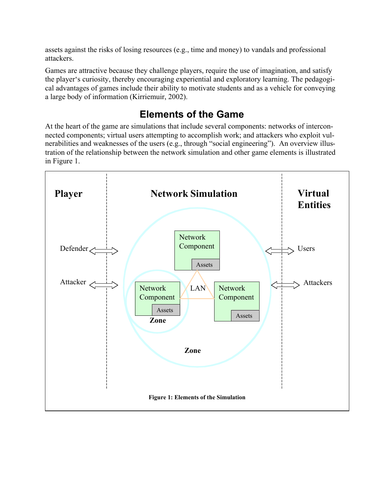assets against the risks of losing resources (e.g., time and money) to vandals and professional attackers.

Games are attractive because they challenge players, require the use of imagination, and satisfy the player's curiosity, thereby encouraging experiential and exploratory learning. The pedagogical advantages of games include their ability to motivate students and as a vehicle for conveying a large body of information (Kirriemuir, 2002).

## **Elements of the Game**

At the heart of the game are simulations that include several components: networks of interconnected components; virtual users attempting to accomplish work; and attackers who exploit vulnerabilities and weaknesses of the users (e.g., through "social engineering"). An overview illustration of the relationship between the network simulation and other game elements is illustrated in Figure 1.

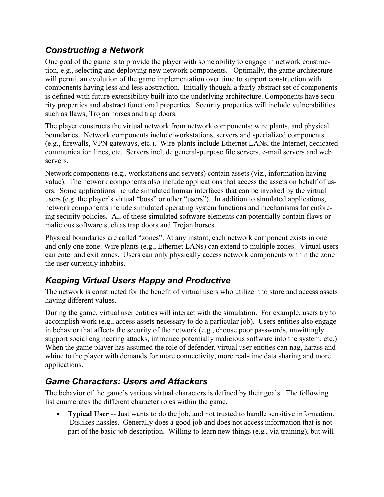## *Constructing a Network*

One goal of the game is to provide the player with some ability to engage in network construction, e.g., selecting and deploying new network components. Optimally, the game architecture will permit an evolution of the game implementation over time to support construction with components having less and less abstraction. Initially though, a fairly abstract set of components is defined with future extensibility built into the underlying architecture. Components have security properties and abstract functional properties. Security properties will include vulnerabilities such as flaws, Trojan horses and trap doors.

The player constructs the virtual network from network components; wire plants, and physical boundaries. Network components include workstations, servers and specialized components (e.g., firewalls, VPN gateways, etc.). Wire-plants include Ethernet LANs, the Internet, dedicated communication lines, etc. Servers include general-purpose file servers, e-mail servers and web servers.

Network components (e.g., workstations and servers) contain assets (viz., information having value). The network components also include applications that access the assets on behalf of users. Some applications include simulated human interfaces that can be invoked by the virtual users (e.g. the player's virtual "boss" or other "users"). In addition to simulated applications, network components include simulated operating system functions and mechanisms for enforcing security policies. All of these simulated software elements can potentially contain flaws or malicious software such as trap doors and Trojan horses.

Physical boundaries are called "zones". At any instant, each network component exists in one and only one zone. Wire plants (e.g., Ethernet LANs) can extend to multiple zones. Virtual users can enter and exit zones. Users can only physically access network components within the zone the user currently inhabits.

## *Keeping Virtual Users Happy and Productive*

The network is constructed for the benefit of virtual users who utilize it to store and access assets having different values.

During the game, virtual user entities will interact with the simulation. For example, users try to accomplish work (e.g., access assets necessary to do a particular job). Users entities also engage in behavior that affects the security of the network (e.g., choose poor passwords, unwittingly support social engineering attacks, introduce potentially malicious software into the system, etc.) When the game player has assumed the role of defender, virtual user entities can nag, harass and whine to the player with demands for more connectivity, more real-time data sharing and more applications.

## *Game Characters: Users and Attackers*

The behavior of the game's various virtual characters is defined by their goals. The following list enumerates the different character roles within the game.

• **Typical User** -- Just wants to do the job, and not trusted to handle sensitive information. Dislikes hassles. Generally does a good job and does not access information that is not part of the basic job description. Willing to learn new things (e.g., via training), but will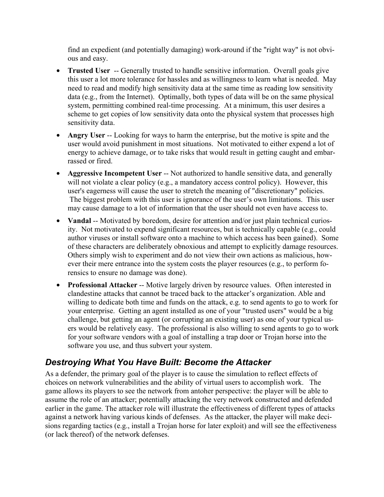find an expedient (and potentially damaging) work-around if the "right way" is not obvious and easy.

- **Trusted User** -- Generally trusted to handle sensitive information. Overall goals give this user a lot more tolerance for hassles and as willingness to learn what is needed. May need to read and modify high sensitivity data at the same time as reading low sensitivity data (e.g., from the Internet). Optimally, both types of data will be on the same physical system, permitting combined real-time processing. At a minimum, this user desires a scheme to get copies of low sensitivity data onto the physical system that processes high sensitivity data.
- **Angry User** -- Looking for ways to harm the enterprise, but the motive is spite and the user would avoid punishment in most situations. Not motivated to either expend a lot of energy to achieve damage, or to take risks that would result in getting caught and embarrassed or fired.
- **Aggressive Incompetent User** -- Not authorized to handle sensitive data, and generally will not violate a clear policy (e.g., a mandatory access control policy). However, this user's eagerness will cause the user to stretch the meaning of "discretionary" policies. The biggest problem with this user is ignorance of the user's own limitations. This user may cause damage to a lot of information that the user should not even have access to.
- **Vandal** -- Motivated by boredom, desire for attention and/or just plain technical curiosity. Not motivated to expend significant resources, but is technically capable (e.g., could author viruses or install software onto a machine to which access has been gained). Some of these characters are deliberately obnoxious and attempt to explicitly damage resources. Others simply wish to experiment and do not view their own actions as malicious, however their mere entrance into the system costs the player resources (e.g., to perform forensics to ensure no damage was done).
- **Professional Attacker** -- Motive largely driven by resource values. Often interested in clandestine attacks that cannot be traced back to the attacker's organization. Able and willing to dedicate both time and funds on the attack, e.g. to send agents to go to work for your enterprise. Getting an agent installed as one of your "trusted users" would be a big challenge, but getting an agent (or corrupting an existing user) as one of your typical users would be relatively easy. The professional is also willing to send agents to go to work for your software vendors with a goal of installing a trap door or Trojan horse into the software you use, and thus subvert your system.

## *Destroying What You Have Built: Become the Attacker*

As a defender, the primary goal of the player is to cause the simulation to reflect effects of choices on network vulnerabilities and the ability of virtual users to accomplish work. The game allows its players to see the network from antoher perspective: the player will be able to assume the role of an attacker; potentially attacking the very network constructed and defended earlier in the game. The attacker role will illustrate the effectiveness of different types of attacks against a network having various kinds of defenses. As the attacker, the player will make decisions regarding tactics (e.g., install a Trojan horse for later exploit) and will see the effectiveness (or lack thereof) of the network defenses.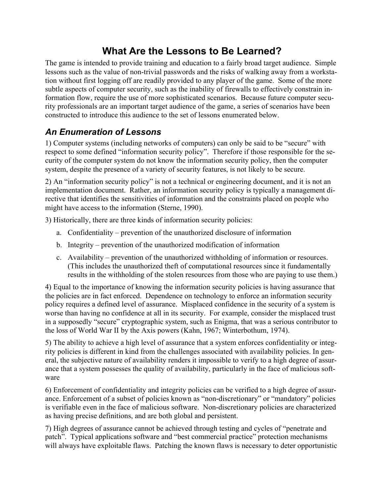# **What Are the Lessons to Be Learned?**

The game is intended to provide training and education to a fairly broad target audience. Simple lessons such as the value of non-trivial passwords and the risks of walking away from a workstation without first logging off are readily provided to any player of the game. Some of the more subtle aspects of computer security, such as the inability of firewalls to effectively constrain information flow, require the use of more sophisticated scenarios. Because future computer security professionals are an important target audience of the game, a series of scenarios have been constructed to introduce this audience to the set of lessons enumerated below.

## *An Enumeration of Lessons*

1) Computer systems (including networks of computers) can only be said to be "secure" with respect to some defined "information security policy". Therefore if those responsible for the security of the computer system do not know the information security policy, then the computer system, despite the presence of a variety of security features, is not likely to be secure.

2) An "information security policy" is not a technical or engineering document, and it is not an implementation document. Rather, an information security policy is typically a management directive that identifies the sensitivities of information and the constraints placed on people who might have access to the information (Sterne, 1990).

3) Historically, there are three kinds of information security policies:

- a. Confidentiality prevention of the unauthorized disclosure of information
- b. Integrity prevention of the unauthorized modification of information
- c. Availability prevention of the unauthorized withholding of information or resources. (This includes the unauthorized theft of computational resources since it fundamentally results in the withholding of the stolen resources from those who are paying to use them.)

4) Equal to the importance of knowing the information security policies is having assurance that the policies are in fact enforced. Dependence on technology to enforce an information security policy requires a defined level of assurance. Misplaced confidence in the security of a system is worse than having no confidence at all in its security. For example, consider the misplaced trust in a supposedly "secure" cryptographic system, such as Enigma, that was a serious contributor to the loss of World War II by the Axis powers (Kahn, 1967; Winterbothum, 1974).

5) The ability to achieve a high level of assurance that a system enforces confidentiality or integrity policies is different in kind from the challenges associated with availability policies. In general, the subjective nature of availability renders it impossible to verify to a high degree of assurance that a system possesses the quality of availability, particularly in the face of malicious software

6) Enforcement of confidentiality and integrity policies can be verified to a high degree of assurance. Enforcement of a subset of policies known as "non-discretionary" or "mandatory" policies is verifiable even in the face of malicious software. Non-discretionary policies are characterized as having precise definitions, and are both global and persistent.

7) High degrees of assurance cannot be achieved through testing and cycles of "penetrate and patch". Typical applications software and "best commercial practice" protection mechanisms will always have exploitable flaws. Patching the known flaws is necessary to deter opportunistic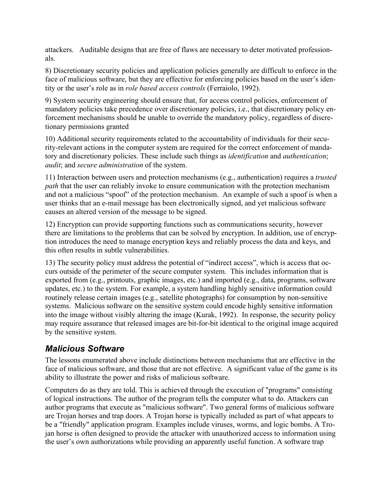attackers. Auditable designs that are free of flaws are necessary to deter motivated professionals.

8) Discretionary security policies and application policies generally are difficult to enforce in the face of malicious software, but they are effective for enforcing policies based on the user's identity or the user's role as in *role based access controls* (Ferraiolo, 1992).

9) System security engineering should ensure that, for access control policies, enforcement of mandatory policies take precedence over discretionary policies, i.e., that discretionary policy enforcement mechanisms should be unable to override the mandatory policy, regardless of discretionary permissions granted

10) Additional security requirements related to the accountability of individuals for their security-relevant actions in the computer system are required for the correct enforcement of mandatory and discretionary policies. These include such things as *identification* and *authentication*; *audit*; and *secure administration* of the system.

11) Interaction between users and protection mechanisms (e.g., authentication) requires a *trusted path* that the user can reliably invoke to ensure communication with the protection mechanism and not a malicious "spoof" of the protection mechanism. An example of such a spoof is when a user thinks that an e-mail message has been electronically signed, and yet malicious software causes an altered version of the message to be signed.

12) Encryption can provide supporting functions such as communications security, however there are limitations to the problems that can be solved by encryption. In addition, use of encryption introduces the need to manage encryption keys and reliably process the data and keys, and this often results in subtle vulnerabilities.

13) The security policy must address the potential of "indirect access", which is access that occurs outside of the perimeter of the secure computer system. This includes information that is exported from (e.g., printouts, graphic images, etc.) and imported (e.g., data, programs, software updates, etc.) to the system. For example, a system handling highly sensitive information could routinely release certain images (e.g., satellite photographs) for consumption by non-sensitive systems. Malicious software on the sensitive system could encode highly sensitive information into the image without visibly altering the image (Kurak, 1992). In response, the security policy may require assurance that released images are bit-for-bit identical to the original image acquired by the sensitive system.

## *Malicious Software*

The lessons enumerated above include distinctions between mechanisms that are effective in the face of malicious software, and those that are not effective. A significant value of the game is its ability to illustrate the power and risks of malicious software.

Computers do as they are told. This is achieved through the execution of "programs" consisting of logical instructions. The author of the program tells the computer what to do. Attackers can author programs that execute as "malicious software". Two general forms of malicious software are Trojan horses and trap doors. A Trojan horse is typically included as part of what appears to be a "friendly" application program. Examples include viruses, worms, and logic bombs. A Trojan horse is often designed to provide the attacker with unauthorized access to information using the user's own authorizations while providing an apparently useful function. A software trap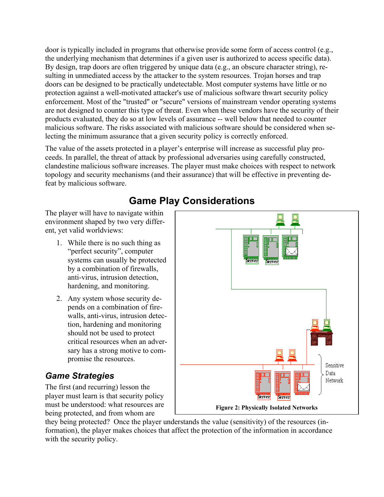door is typically included in programs that otherwise provide some form of access control (e.g., the underlying mechanism that determines if a given user is authorized to access specific data). By design, trap doors are often triggered by unique data (e.g., an obscure character string), resulting in unmediated access by the attacker to the system resources. Trojan horses and trap doors can be designed to be practically undetectable. Most computer systems have little or no protection against a well-motivated attacker's use of malicious software thwart security policy enforcement. Most of the "trusted" or "secure" versions of mainstream vendor operating systems are not designed to counter this type of threat. Even when these vendors have the security of their products evaluated, they do so at low levels of assurance -- well below that needed to counter malicious software. The risks associated with malicious software should be considered when selecting the minimum assurance that a given security policy is correctly enforced.

The value of the assets protected in a player's enterprise will increase as successful play proceeds. In parallel, the threat of attack by professional adversaries using carefully constructed, clandestine malicious software increases. The player must make choices with respect to network topology and security mechanisms (and their assurance) that will be effective in preventing defeat by malicious software.

The player will have to navigate within environment shaped by two very different, yet valid worldviews:

- 1. While there is no such thing as "perfect security", computer systems can usually be protected by a combination of firewalls, anti-virus, intrusion detection, hardening, and monitoring.
- 2. Any system whose security depends on a combination of firewalls, anti-virus, intrusion detection, hardening and monitoring should not be used to protect critical resources when an adversary has a strong motive to compromise the resources.

## *Game Strategies*

The first (and recurring) lesson the player must learn is that security policy must be understood: what resources are being protected, and from whom are

server Sensitive Data Network **Natural** Server **Figure 2: Physically Isolated Networks**

they being protected? Once the player understands the value (sensitivity) of the resources (information), the player makes choices that affect the protection of the information in accordance with the security policy.

# **Game Play Considerations**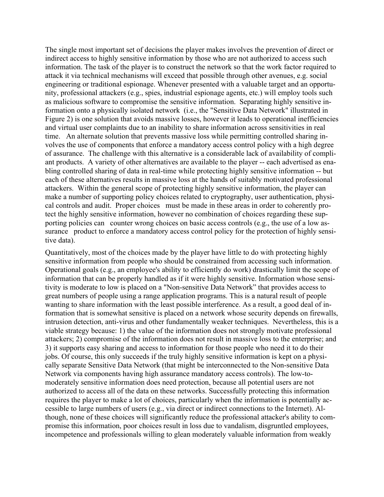The single most important set of decisions the player makes involves the prevention of direct or indirect access to highly sensitive information by those who are not authorized to access such information. The task of the player is to construct the network so that the work factor required to attack it via technical mechanisms will exceed that possible through other avenues, e.g. social engineering or traditional espionage. Whenever presented with a valuable target and an opportunity, professional attackers (e.g., spies, industrial espionage agents, etc.) will employ tools such as malicious software to compromise the sensitive information. Separating highly sensitive information onto a physically isolated network (i.e., the "Sensitive Data Network" illustrated in Figure 2) is one solution that avoids massive losses, however it leads to operational inefficiencies and virtual user complaints due to an inability to share information across sensitivities in real time. An alternate solution that prevents massive loss while permitting controlled sharing involves the use of components that enforce a mandatory access control policy with a high degree of assurance. The challenge with this alternative is a considerable lack of availability of compliant products. A variety of other alternatives are available to the player -- each advertised as enabling controlled sharing of data in real-time while protecting highly sensitive information -- but each of these alternatives results in massive loss at the hands of suitably motivated professional attackers. Within the general scope of protecting highly sensitive information, the player can make a number of supporting policy choices related to cryptography, user authentication, physical controls and audit. Proper choices must be made in these areas in order to coherently protect the highly sensitive information, however no combination of choices regarding these supporting policies can counter wrong choices on basic access controls (e.g., the use of a low assurance product to enforce a mandatory access control policy for the protection of highly sensitive data).

Quantitatively, most of the choices made by the player have little to do with protecting highly sensitive information from people who should be constrained from accessing such information. Operational goals (e.g., an employee's ability to efficiently do work) drastically limit the scope of information that can be properly handled as if it were highly sensitive. Information whose sensitivity is moderate to low is placed on a "Non-sensitive Data Network" that provides access to great numbers of people using a range application programs. This is a natural result of people wanting to share information with the least possible interference. As a result, a good deal of information that is somewhat sensitive is placed on a network whose security depends on firewalls, intrusion detection, anti-virus and other fundamentally weaker techniques. Nevertheless, this is a viable strategy because: 1) the value of the information does not strongly motivate professional attackers; 2) compromise of the information does not result in massive loss to the enterprise; and 3) it supports easy sharing and access to information for those people who need it to do their jobs. Of course, this only succeeds if the truly highly sensitive information is kept on a physically separate Sensitive Data Network (that might be interconnected to the Non-sensitive Data Network via components having high assurance mandatory access controls). The low-tomoderately sensitive information does need protection, because all potential users are not authorized to access all of the data on these networks. Successfully protecting this information requires the player to make a lot of choices, particularly when the information is potentially accessible to large numbers of users (e.g., via direct or indirect connections to the Internet). Although, none of these choices will significantly reduce the professional attacker's ability to compromise this information, poor choices result in loss due to vandalism, disgruntled employees, incompetence and professionals willing to glean moderately valuable information from weakly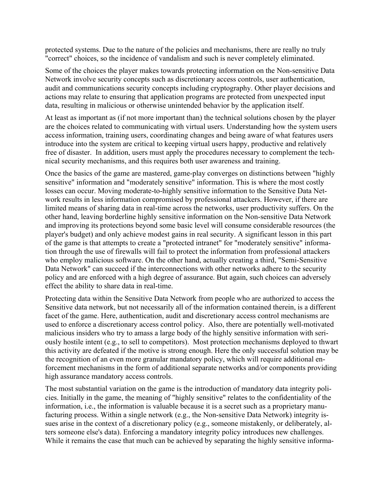protected systems. Due to the nature of the policies and mechanisms, there are really no truly "correct" choices, so the incidence of vandalism and such is never completely eliminated.

Some of the choices the player makes towards protecting information on the Non-sensitive Data Network involve security concepts such as discretionary access controls, user authentication, audit and communications security concepts including cryptography. Other player decisions and actions may relate to ensuring that application programs are protected from unexpected input data, resulting in malicious or otherwise unintended behavior by the application itself.

At least as important as (if not more important than) the technical solutions chosen by the player are the choices related to communicating with virtual users. Understanding how the system users access information, training users, coordinating changes and being aware of what features users introduce into the system are critical to keeping virtual users happy, productive and relatively free of disaster. In addition, users must apply the procedures necessary to complement the technical security mechanisms, and this requires both user awareness and training.

Once the basics of the game are mastered, game-play converges on distinctions between "highly sensitive" information and "moderately sensitive" information. This is where the most costly losses can occur. Moving moderate-to-highly sensitive information to the Sensitive Data Network results in less information compromised by professional attackers. However, if there are limited means of sharing data in real-time across the networks, user productivity suffers. On the other hand, leaving borderline highly sensitive information on the Non-sensitive Data Network and improving its protections beyond some basic level will consume considerable resources (the player's budget) and only achieve modest gains in real security. A significant lesson in this part of the game is that attempts to create a "protected intranet" for "moderately sensitive" information through the use of firewalls will fail to protect the information from professional attackers who employ malicious software. On the other hand, actually creating a third, "Semi-Sensitive Data Network" can succeed if the interconnections with other networks adhere to the security policy and are enforced with a high degree of assurance. But again, such choices can adversely effect the ability to share data in real-time.

Protecting data within the Sensitive Data Network from people who are authorized to access the Sensitive data network, but not necessarily all of the information contained therein, is a different facet of the game. Here, authentication, audit and discretionary access control mechanisms are used to enforce a discretionary access control policy. Also, there are potentially well-motivated malicious insiders who try to amass a large body of the highly sensitive information with seriously hostile intent (e.g., to sell to competitors). Most protection mechanisms deployed to thwart this activity are defeated if the motive is strong enough. Here the only successful solution may be the recognition of an even more granular mandatory policy, which will require additional enforcement mechanisms in the form of additional separate networks and/or components providing high assurance mandatory access controls.

The most substantial variation on the game is the introduction of mandatory data integrity policies. Initially in the game, the meaning of "highly sensitive" relates to the confidentiality of the information, i.e., the information is valuable because it is a secret such as a proprietary manufacturing process. Within a single network (e.g., the Non-sensitive Data Network) integrity issues arise in the context of a discretionary policy (e.g., someone mistakenly, or deliberately, alters someone else's data). Enforcing a mandatory integrity policy introduces new challenges. While it remains the case that much can be achieved by separating the highly sensitive informa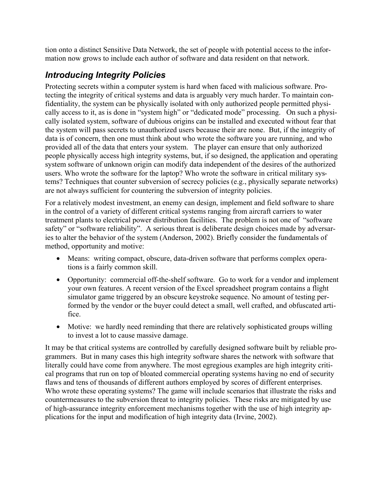tion onto a distinct Sensitive Data Network, the set of people with potential access to the information now grows to include each author of software and data resident on that network.

## *Introducing Integrity Policies*

Protecting secrets within a computer system is hard when faced with malicious software. Protecting the integrity of critical systems and data is arguably very much harder. To maintain confidentiality, the system can be physically isolated with only authorized people permitted physically access to it, as is done in "system high" or "dedicated mode" processing. On such a physically isolated system, software of dubious origins can be installed and executed without fear that the system will pass secrets to unauthorized users because their are none. But, if the integrity of data is of concern, then one must think about who wrote the software you are running, and who provided all of the data that enters your system. The player can ensure that only authorized people physically access high integrity systems, but, if so designed, the application and operating system software of unknown origin can modify data independent of the desires of the authorized users. Who wrote the software for the laptop? Who wrote the software in critical military systems? Techniques that counter subversion of secrecy policies (e.g., physically separate networks) are not always sufficient for countering the subversion of integrity policies.

For a relatively modest investment, an enemy can design, implement and field software to share in the control of a variety of different critical systems ranging from aircraft carriers to water treatment plants to electrical power distribution facilities. The problem is not one of "software safety" or "software reliability". A serious threat is deliberate design choices made by adversaries to alter the behavior of the system (Anderson, 2002). Briefly consider the fundamentals of method, opportunity and motive:

- Means: writing compact, obscure, data-driven software that performs complex operations is a fairly common skill.
- Opportunity: commercial off-the-shelf software. Go to work for a vendor and implement your own features. A recent version of the Excel spreadsheet program contains a flight simulator game triggered by an obscure keystroke sequence. No amount of testing performed by the vendor or the buyer could detect a small, well crafted, and obfuscated artifice.
- Motive: we hardly need reminding that there are relatively sophisticated groups willing to invest a lot to cause massive damage.

It may be that critical systems are controlled by carefully designed software built by reliable programmers. But in many cases this high integrity software shares the network with software that literally could have come from anywhere. The most egregious examples are high integrity critical programs that run on top of bloated commercial operating systems having no end of security flaws and tens of thousands of different authors employed by scores of different enterprises. Who wrote these operating systems? The game will include scenarios that illustrate the risks and countermeasures to the subversion threat to integrity policies. These risks are mitigated by use of high-assurance integrity enforcement mechanisms together with the use of high integrity applications for the input and modification of high integrity data (Irvine, 2002).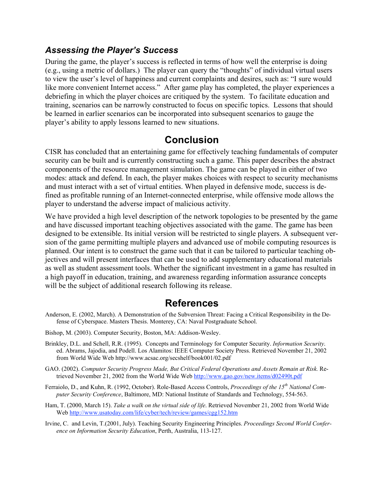#### *Assessing the Player's Success*

During the game, the player's success is reflected in terms of how well the enterprise is doing (e.g., using a metric of dollars.) The player can query the "thoughts" of individual virtual users to view the user's level of happiness and current complaints and desires, such as: "I sure would like more convenient Internet access." After game play has completed, the player experiences a debriefing in which the player choices are critiqued by the system. To facilitate education and training, scenarios can be narrowly constructed to focus on specific topics. Lessons that should be learned in earlier scenarios can be incorporated into subsequent scenarios to gauge the player's ability to apply lessons learned to new situations.

## **Conclusion**

CISR has concluded that an entertaining game for effectively teaching fundamentals of computer security can be built and is currently constructing such a game. This paper describes the abstract components of the resource management simulation. The game can be played in either of two modes: attack and defend. In each, the player makes choices with respect to security mechanisms and must interact with a set of virtual entities. When played in defensive mode, success is defined as profitable running of an Internet-connected enterprise, while offensive mode allows the player to understand the adverse impact of malicious activity.

We have provided a high level description of the network topologies to be presented by the game and have discussed important teaching objectives associated with the game. The game has been designed to be extensible. Its initial version will be restricted to single players. A subsequent version of the game permitting multiple players and advanced use of mobile computing resources is planned. Our intent is to construct the game such that it can be tailored to particular teaching objectives and will present interfaces that can be used to add supplementary educational materials as well as student assessment tools. Whether the significant investment in a game has resulted in a high payoff in education, training, and awareness regarding information assurance concepts will be the subject of additional research following its release.

## **References**

- Anderson, E. (2002, March). A Demonstration of the Subversion Threat: Facing a Critical Responsibility in the Defense of Cyberspace. Masters Thesis. Monterey, CA: Naval Postgraduate School.
- Bishop, M. (2003). Computer Security, Boston, MA: Addison-Wesley.
- Brinkley, D.L. and Schell, R.R. (1995). Concepts and Terminology for Computer Security. *Information Security*. ed. Abrams, Jajodia, and Podell. Los Alamitos: IEEE Computer Society Press. Retrieved November 21, 2002 from World Wide Web http://www.acsac.org/secshelf/book001/02.pdf
- GAO. (2002). *Computer Security Progress Made, But Critical Federal Operations and Assets Remain at Risk.* Retrieved November 21, 2002 from the World Wide Web http://www.gao.gov/new.items/d02490t.pdf
- Ferraiolo, D., and Kuhn, R. (1992, October). Role-Based Access Controls, *Proceedings of the 15th National Computer Security Conference*, Baltimore, MD: National Institute of Standards and Technology, 554-563.
- Ham, T. (2000, March 15). *Take a walk on the virtual side of life*. Retrieved November 21, 2002 from World Wide Web http://www.usatoday.com/life/cyber/tech/review/games/cgg152.htm
- Irvine, C. and Levin, T.(2001, July). Teaching Security Engineering Principles. *Proceedings Second World Conference on Information Security Education*, Perth, Australia, 113-127.